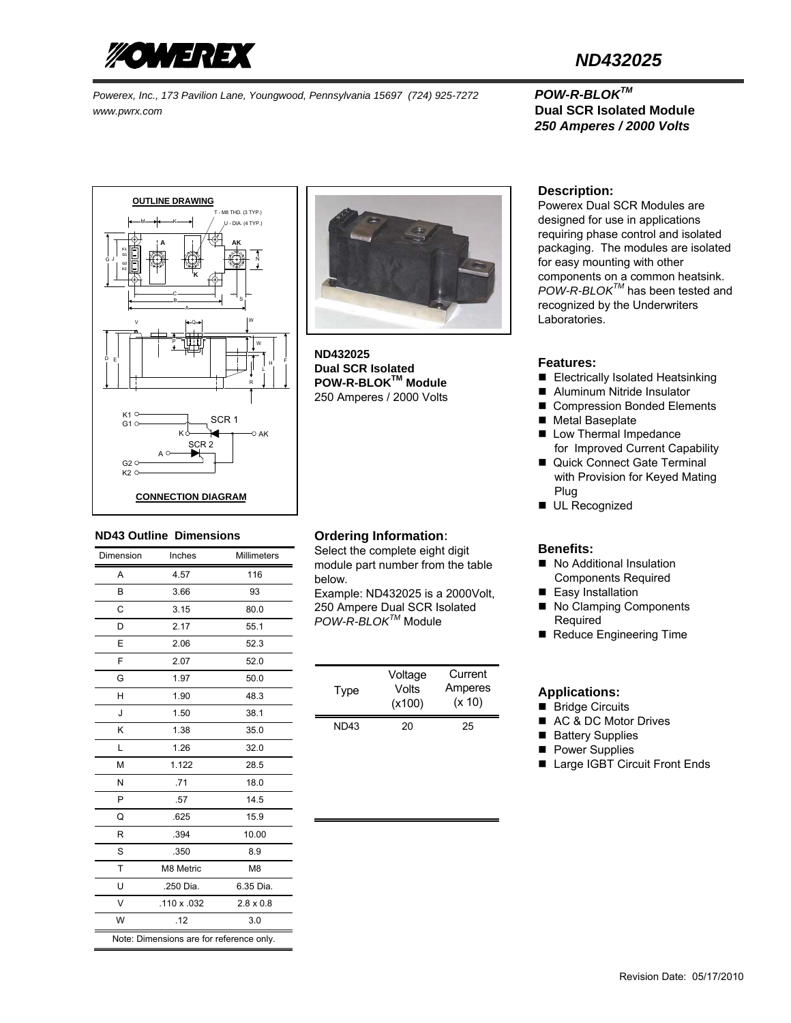

*Powerex, Inc., 173 Pavilion Lane, Youngwood, Pennsylvania 15697 (724) 925-7272 POW-R-BLOKTM www.pwrx.com* **Dual SCR Isolated Module** 

# *ND432025*

# *250 Amperes / 2000 Volts*





**ND432025 Dual SCR Isolated POW-R-BLOKTM Module**  250 Amperes / 2000 Volts

#### **ND43 Outline Dimensions**

| Dimension                                | Inches      | <b>Millimeters</b> |  |
|------------------------------------------|-------------|--------------------|--|
| A                                        | 4.57        | 116                |  |
| B                                        | 3.66        | 93                 |  |
| C                                        | 3.15        | 80.0               |  |
| D                                        | 2.17        | 55.1               |  |
| E                                        | 2.06        | 52.3               |  |
| F                                        | 2.07        | 52.0               |  |
| G                                        | 1.97        | 50.0               |  |
| н                                        | 1.90        | 48.3               |  |
| J                                        | 1.50        | 38.1               |  |
| κ                                        | 1.38        | 35.0               |  |
| L                                        | 1.26        | 32.0               |  |
| M                                        | 1.122       | 28.5               |  |
| N                                        | .71         | 18.0               |  |
| P                                        | .57         | 14.5               |  |
| Q                                        | .625        | 15.9               |  |
| R                                        | .394        | 10.00              |  |
| S                                        | .350        | 8.9                |  |
| T                                        | M8 Metric   | M <sub>8</sub>     |  |
| U                                        | .250 Dia.   | 6.35 Dia.          |  |
| $\vee$                                   | .110 x .032 | $2.8 \times 0.8$   |  |
| W                                        | .12         | 3.0                |  |
| Note: Dimensions are for reference only. |             |                    |  |

### **Ordering Information**:

Select the complete eight digit module part number from the table below.

Example: ND432025 is a 2000Volt, 250 Ampere Dual SCR Isolated *POW-R-BLOKTM* Module

| Type | Voltage<br>Volts<br>(x100) | Current<br>Amperes<br>(x 10) |
|------|----------------------------|------------------------------|
| ND43 | 20                         | 25                           |

#### **Description:**

Powerex Dual SCR Modules are designed for use in applications requiring phase control and isolated packaging. The modules are isolated for easy mounting with other components on a common heatsink. *POW-R-BLOKTM* has been tested and recognized by the Underwriters Laboratories.

#### **Features:**

- Electrically Isolated Heatsinking
- Aluminum Nitride Insulator
- Compression Bonded Elements
- Metal Baseplate
- **Low Thermal Impedance** for Improved Current Capability
- Quick Connect Gate Terminal with Provision for Keyed Mating Plug
- **UL Recognized**

### **Benefits:**

- No Additional Insulation Components Required
- Easy Installation
- No Clamping Components Required
- Reduce Engineering Time

#### **Applications:**

- Bridge Circuits
- AC & DC Motor Drives
- Battery Supplies
- **Power Supplies**
- Large IGBT Circuit Front Ends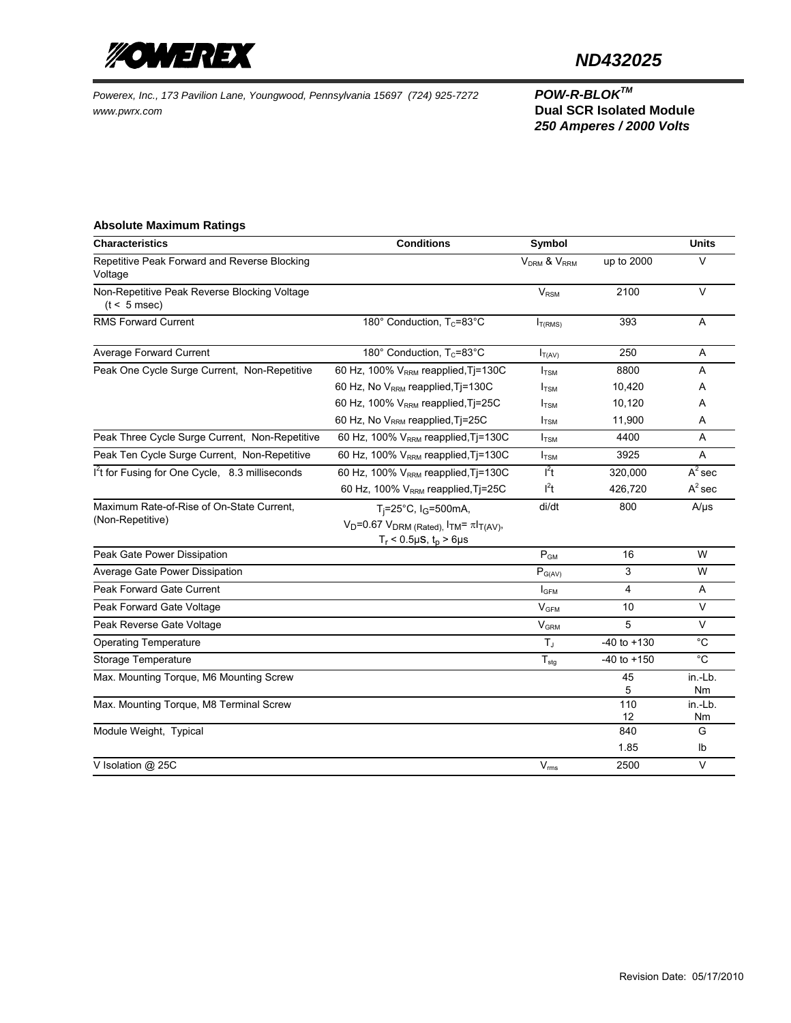

## *ND432025*

*Powerex, Inc., 173 Pavilion Lane, Youngwood, Pennsylvania 15697 (724) 925-7272 POW-R-BLOKTM www.pwrx.com* **Dual SCR Isolated Module** 

# *250 Amperes / 2000 Volts*

## **Absolute Maximum Ratings**

| <b>Characteristics</b>                                         | <b>Conditions</b>                                          | Symbol                              |                 | <b>Units</b>  |
|----------------------------------------------------------------|------------------------------------------------------------|-------------------------------------|-----------------|---------------|
| Repetitive Peak Forward and Reverse Blocking<br>Voltage        |                                                            | V <sub>DRM</sub> & V <sub>RRM</sub> | up to 2000      | $\vee$        |
| Non-Repetitive Peak Reverse Blocking Voltage<br>$(t < 5$ msec) |                                                            | $V_{RSM}$                           | 2100            | $\vee$        |
| RMS Forward Current                                            | 180 $^{\circ}$ Conduction, T <sub>c</sub> =83 $^{\circ}$ C | $I_{T(RMS)}$                        | 393             | Α             |
| Average Forward Current                                        | 180° Conduction, T <sub>c</sub> =83°C                      | $I_{T(AV)}$                         | 250             | Α             |
| Peak One Cycle Surge Current, Non-Repetitive                   | 60 Hz, 100% V <sub>RRM</sub> reapplied, Tj=130C            | $I_{TSM}$                           | 8800            | A             |
|                                                                | 60 Hz, No V <sub>RRM</sub> reapplied, Tj=130C              | $I_{\text{TSM}}$                    | 10,420          | A             |
|                                                                | 60 Hz, 100% $V_{RRM}$ reapplied, Ti=25C                    | $I_{TSM}$                           | 10,120          | A             |
|                                                                | 60 Hz, No V <sub>RRM</sub> reapplied, Tj=25C               | $I_{TSM}$                           | 11,900          | A             |
| Peak Three Cycle Surge Current, Non-Repetitive                 | 60 Hz, 100% $V_{RRM}$ reapplied, T $=$ 130C                | $I_{TSM}$                           | 4400            | Α             |
| Peak Ten Cycle Surge Current, Non-Repetitive                   | 60 Hz, 100% V <sub>RRM</sub> reapplied, Tj=130C            | $I_{TSM}$                           | 3925            | A             |
| I <sup>2</sup> t for Fusing for One Cycle, 8.3 milliseconds    | 60 Hz, 100% $V_{RRM}$ reapplied, Ti=130C                   | $l^2t$                              | 320,000         | $A^2$ sec     |
|                                                                | 60 Hz, 100% V <sub>RRM</sub> reapplied, Tj=25C             | $l^2t$                              | 426,720         | $A^2$ sec     |
| Maximum Rate-of-Rise of On-State Current.                      | T <sub>i</sub> =25°C, I <sub>G</sub> =500mA,               | di/dt                               | 800             | $A/\mu s$     |
| (Non-Repetitive)                                               | $V_D$ =0.67 $V_{DRM}$ (Rated), $I_{TM} = \pi I_{T(AV)}$ ,  |                                     |                 |               |
|                                                                | $T_r$ < 0.5µS, $t_p$ > 6µs                                 |                                     |                 |               |
| Peak Gate Power Dissipation                                    |                                                            | $P_{GM}$                            | 16              | W             |
| Average Gate Power Dissipation                                 |                                                            | $P_{G(AV)}$                         | 3               | W             |
| Peak Forward Gate Current                                      |                                                            | <b>I</b> GFM                        | 4               | Α             |
| Peak Forward Gate Voltage                                      |                                                            | V <sub>GFM</sub>                    | 10              | $\vee$        |
| Peak Reverse Gate Voltage                                      |                                                            | <b>V<sub>GRM</sub></b>              | 5               | $\vee$        |
| <b>Operating Temperature</b>                                   |                                                            | $T_J$                               | $-40$ to $+130$ | $^{\circ}C$   |
| Storage Temperature                                            |                                                            | $T_{\text{stg}}$                    | $-40$ to $+150$ | $^{\circ}C$   |
| Max. Mounting Torque, M6 Mounting Screw                        |                                                            |                                     | 45              | in.-Lb.       |
|                                                                |                                                            |                                     | 5               | Nm            |
| Max. Mounting Torque, M8 Terminal Screw                        |                                                            |                                     | 110<br>12       | in.-Lb.<br>Nm |
| Module Weight, Typical                                         |                                                            |                                     | 840             | G             |
|                                                                |                                                            |                                     | 1.85            | Ib            |
| V Isolation @ 25C                                              |                                                            | $V_{\rm rms}$                       | 2500            | $\vee$        |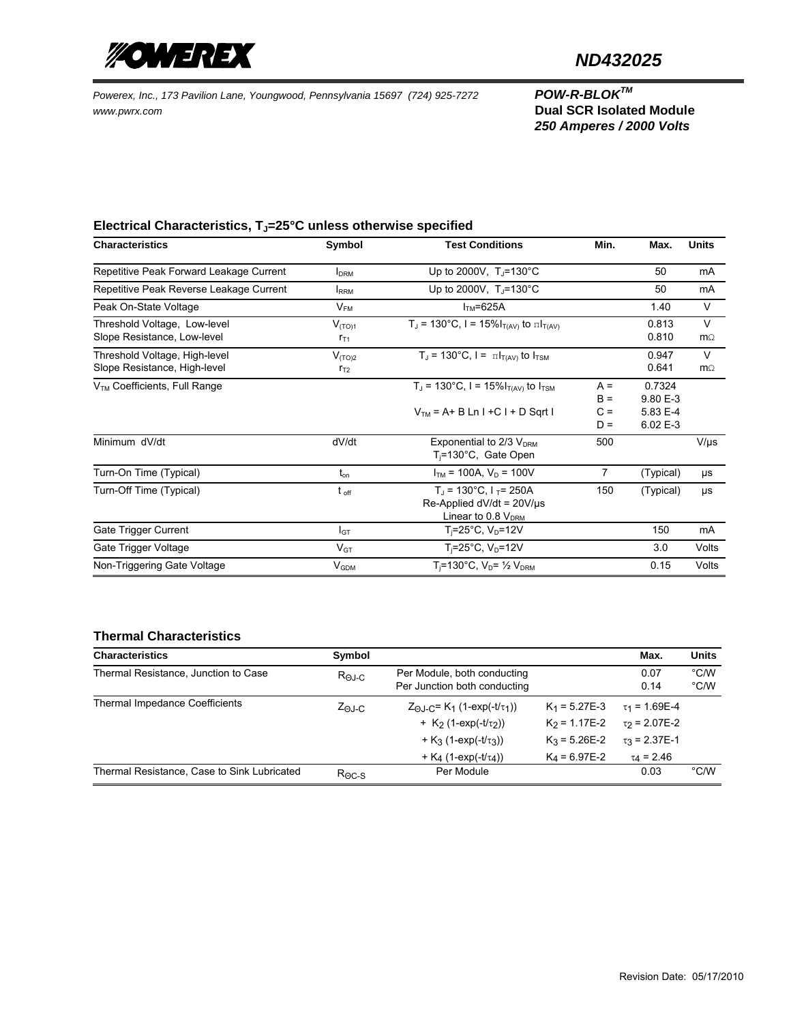

## *ND432025*

*Powerex, Inc., 173 Pavilion Lane, Youngwood, Pennsylvania 15697 (724) 925-7272 POW-R-BLOKTM www.pwrx.com* **Dual SCR Isolated Module** 

*250 Amperes / 2000 Volts*

## Electrical Characteristics, T<sub>J</sub>=25°C unless otherwise specified

| <b>Characteristics</b>                                        | Symbol                  | <b>Test Conditions</b>                                                                         | Min.                             | Max.                                       | <b>Units</b>        |
|---------------------------------------------------------------|-------------------------|------------------------------------------------------------------------------------------------|----------------------------------|--------------------------------------------|---------------------|
| Repetitive Peak Forward Leakage Current                       | <b>I</b> <sub>DRM</sub> | Up to 2000V, $T_{\rm J}$ =130°C                                                                |                                  | 50                                         | mA                  |
| Repetitive Peak Reverse Leakage Current                       | <b>IRRM</b>             | Up to 2000V, $T_{\rm J}$ =130°C                                                                |                                  | 50                                         | mA                  |
| Peak On-State Voltage                                         | $V_{FM}$                | $ITM=625A$                                                                                     |                                  | 1.40                                       | V                   |
| Threshold Voltage, Low-level<br>Slope Resistance, Low-level   | $V_{(TO)1}$<br>$r_{T1}$ | $T_J = 130^{\circ}C$ , $I = 15\%I_{T(AV)}$ to $\pi I_{T(AV)}$                                  |                                  | 0.813<br>0.810                             | $\vee$<br>$m\Omega$ |
| Threshold Voltage, High-level<br>Slope Resistance, High-level | $V_{(TO)2}$<br>$r_{T2}$ | $T_J$ = 130°C, I = $\pi I_{T(AV)}$ to $I_{TSM}$                                                |                                  | 0.947<br>0.641                             | $\vee$<br>$m\Omega$ |
| V <sub>TM</sub> Coefficients, Full Range                      |                         | $T_J = 130^{\circ}C$ , I = 15% $I_{T(AV)}$ to $I_{TSM}$<br>$VTM = A + B Ln I + C I + D Sgrt I$ | $A =$<br>$B =$<br>$C =$<br>$D =$ | 0.7324<br>9.80 E-3<br>5.83 E-4<br>6.02 E-3 |                     |
| Minimum dV/dt                                                 | dV/dt                   | Exponential to $2/3$ $V_{DRM}$<br>$T_i = 130^{\circ}$ C, Gate Open                             | 500                              |                                            | $V/\mu s$           |
| Turn-On Time (Typical)                                        | $t_{\rm on}$            | $I_{TM}$ = 100A, $V_D$ = 100V                                                                  | 7                                | (Typical)                                  | μs                  |
| Turn-Off Time (Typical)                                       | $t_{\text{off}}$        | $T_1$ = 130°C, $1_T$ = 250A<br>Re-Applied $dV/dt = 20V/\mu s$<br>Linear to 0.8 $V_{DRM}$       | 150                              | (Typical)                                  | μs                  |
| Gate Trigger Current                                          | I <sub>GT</sub>         | $T_i = 25^{\circ}$ C, V <sub>D</sub> =12V                                                      |                                  | 150                                        | mA                  |
| Gate Trigger Voltage                                          | $V_{GT}$                | $T_i = 25^{\circ}$ C, V <sub>D</sub> =12V                                                      |                                  | 3.0                                        | Volts               |
| Non-Triggering Gate Voltage                                   | $V_{GDM}$               | T <sub>i</sub> =130°C, $V_D = \frac{1}{2} V_{DRM}$                                             |                                  | 0.15                                       | Volts               |

## **Thermal Characteristics**

| <b>Characteristics</b>                      | Symbol           |                                                                            |                 | Max.                          | <b>Units</b>                    |
|---------------------------------------------|------------------|----------------------------------------------------------------------------|-----------------|-------------------------------|---------------------------------|
| Thermal Resistance, Junction to Case        | $R_{\Theta J-C}$ | Per Module, both conducting<br>Per Junction both conducting                |                 | 0.07<br>0.14                  | $\degree$ C/W<br>$^{\circ}$ C/W |
| Thermal Impedance Coefficients              | $Z_{\Theta}$ J-C | $Z_{\odot L}$ $\subset$ = K <sub>1</sub> (1-exp(-t/ $\tau$ <sub>1</sub> )) | $K_1 = 5.27E-3$ | $\tau_1$ = 1.69E-4            |                                 |
|                                             |                  | + $K_2$ (1-exp(- $t/\tau_2$ ))                                             | $K_2$ = 1.17E-2 | $\tau$ <sub>2</sub> = 2.07E-2 |                                 |
|                                             |                  | + $K_3$ (1-exp(- $t/\tau_3$ ))                                             | $K_3$ = 5.26E-2 | $\tau_3$ = 2.37E-1            |                                 |
|                                             |                  | + K <sub>4</sub> (1-exp(-t/ $\tau$ <sub>4</sub> ))                         | $K_4$ = 6.97E-2 | $\tau_4 = 2.46$               |                                 |
| Thermal Resistance, Case to Sink Lubricated | $R_{\Theta C-S}$ | Per Module                                                                 |                 | 0.03                          | °C/W                            |